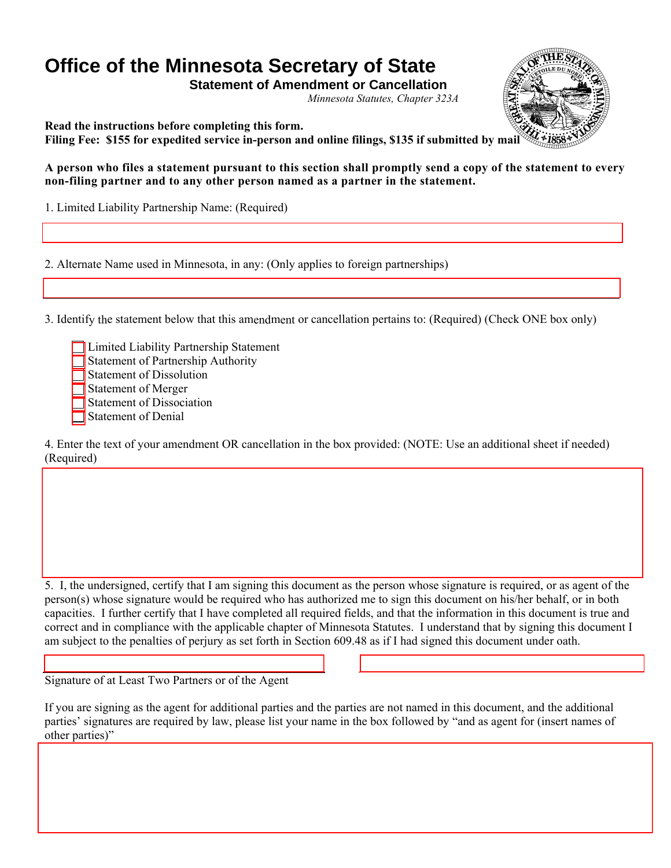# **Office of the Minnesota Secretary of State**

**Statement of Amendment or Cancellation**  *Minnesota Statutes, Chapter 323A* 



**Read the instructions before completing this form. Filing Fee: \$155 for expedited service in-person and online filings, \$135 if submitted by mail**

**A person who files a statement pursuant to this section shall promptly send a copy of the statement to every non-filing partner and to any other person named as a partner in the statement.** 

1. Limited Liability Partnership Name: (Required)

2. Alternate Name used in Minnesota, in any: (Only applies to foreign partnerships)

3. Identify the statement below that this amendment or cancellation pertains to: (Required) (Check ONE box only)

Limited Liability Partnership Statement Statement of Partnership Authority Statement of Dissolution Statement of Merger Statement of Dissociation Statement of Denial

4. Enter the text of your amendment OR cancellation in the box provided: (NOTE: Use an additional sheet if needed) (Required)

5. I, the undersigned, certify that I am signing this document as the person whose signature is required, or as agent of the person(s) whose signature would be required who has authorized me to sign this document on his/her behalf, or in both capacities. I further certify that I have completed all required fields, and that the information in this document is true and correct and in compliance with the applicable chapter of Minnesota Statutes. I understand that by signing this document I am subject to the penalties of perjury as set forth in Section 609.48 as if I had signed this document under oath.

Signature of at Least Two Partners or of the Agent

Г

If you are signing as the agent for additional parties and the parties are not named in this document, and the additional parties' signatures are required by law, please list your name in the box followed by "and as agent for (insert names of other parties)"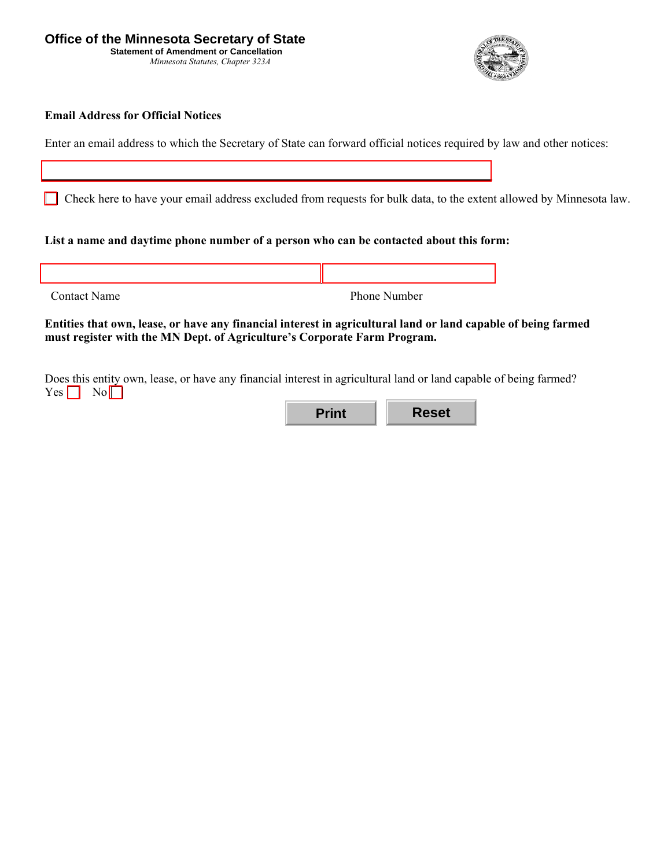*Minnesota Statutes, Chapter 323A* 



#### **Email Address for Official Notices**

Enter an email address to which the Secretary of State can forward official notices required by law and other notices:

Check here to have your email address excluded from requests for bulk data, to the extent allowed by Minnesota law.

#### **List a name and daytime phone number of a person who can be contacted about this form:**

| <b>Contact Name</b> | Phone Number |
|---------------------|--------------|

#### **Entities that own, lease, or have any financial interest in agricultural land or land capable of being farmed must register with the MN Dept. of Agriculture's Corporate Farm Program.**

Does this entity own, lease, or have any financial interest in agricultural land or land capable of being farmed?  $Yes \nightharpoonup No \nightharpoonup$